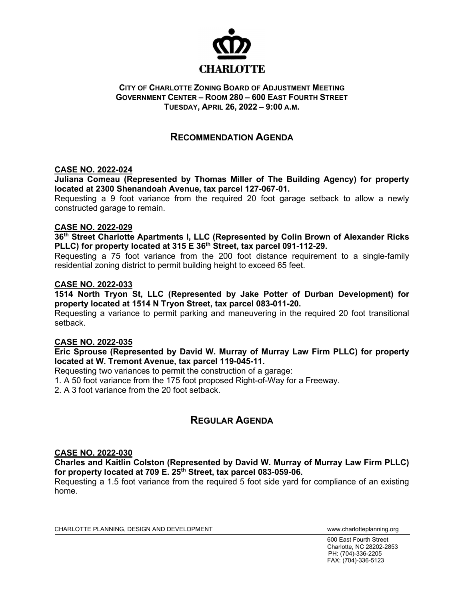

#### **CITY OF CHARLOTTE ZONING BOARD OF ADJUSTMENT MEETING GOVERNMENT CENTER – ROOM 280 – 600 EAST FOURTH STREET TUESDAY, APRIL 26, 2022 – 9:00 A.M.**

### **RECOMMENDATION AGENDA**

#### **CASE NO. 2022-024**

**Juliana Comeau (Represented by Thomas Miller of The Building Agency) for property located at 2300 Shenandoah Avenue, tax parcel 127-067-01.** 

Requesting a 9 foot variance from the required 20 foot garage setback to allow a newly constructed garage to remain.

#### **CASE NO. 2022-029**

**36th Street Charlotte Apartments I, LLC (Represented by Colin Brown of Alexander Ricks PLLC) for property located at 315 E 36th Street, tax parcel 091-112-29.**

Requesting a 75 foot variance from the 200 foot distance requirement to a single-family residential zoning district to permit building height to exceed 65 feet.

#### **CASE NO. 2022-033**

**1514 North Tryon St, LLC (Represented by Jake Potter of Durban Development) for property located at 1514 N Tryon Street, tax parcel 083-011-20.** 

Requesting a variance to permit parking and maneuvering in the required 20 foot transitional setback.

#### **CASE NO. 2022-035**

**Eric Sprouse (Represented by David W. Murray of Murray Law Firm PLLC) for property located at W. Tremont Avenue, tax parcel 119-045-11.** 

Requesting two variances to permit the construction of a garage:

1. A 50 foot variance from the 175 foot proposed Right-of-Way for a Freeway.

2. A 3 foot variance from the 20 foot setback.

## **REGULAR AGENDA**

#### **CASE NO. 2022-030**

**Charles and Kaitlin Colston (Represented by David W. Murray of Murray Law Firm PLLC) for property located at 709 E. 25th Street, tax parcel 083-059-06.** 

Requesting a 1.5 foot variance from the required 5 foot side yard for compliance of an existing home.

CHARLOTTE PLANNING, DESIGN AND DEVELOPMENT WWW.charlotteplanning.org

600 East Fourth Street Charlotte, NC 28202-2853 PH: (704)-336-2205 FAX: (704)-336-5123